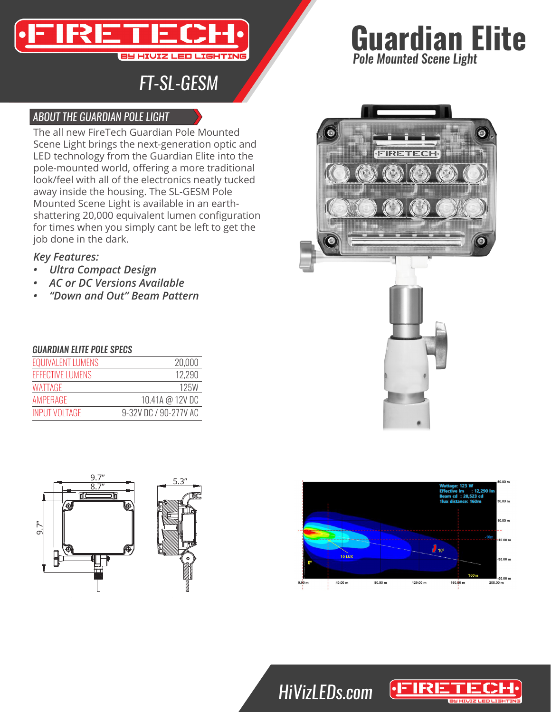

## *FT-SL-GESM*

### *ABOUT THE GUARDIAN POLE LIGHT*

The all new FireTech Guardian Pole Mounted Scene Light brings the next-generation optic and LED technology from the Guardian Elite into the pole-mounted world, offering a more traditional look/feel with all of the electronics neatly tucked away inside the housing. The SL-GESM Pole Mounted Scene Light is available in an earthshattering 20,000 equivalent lumen configuration for times when you simply cant be left to get the job done in the dark.

### *Key Features:*

- *• Ultra Compact Design*
- *• AC or DC Versions Available*
- *• "Down and Out" Beam Pattern*

#### *GUARDIAN ELITE POLE SPECS*

| <b>EQUIVALENT LUMENS</b> | 20,000                |
|--------------------------|-----------------------|
| <b>FFFECTIVE LUMENS</b>  | 12.290                |
| WATTAGF                  | 125W                  |
| AMPFRAGE                 | 10.41A @ 12V DC       |
| <b>INPUT VOLTAGE</b>     | 9-32V DC / 90-277V AC |









# *HiVizLEDs.com*